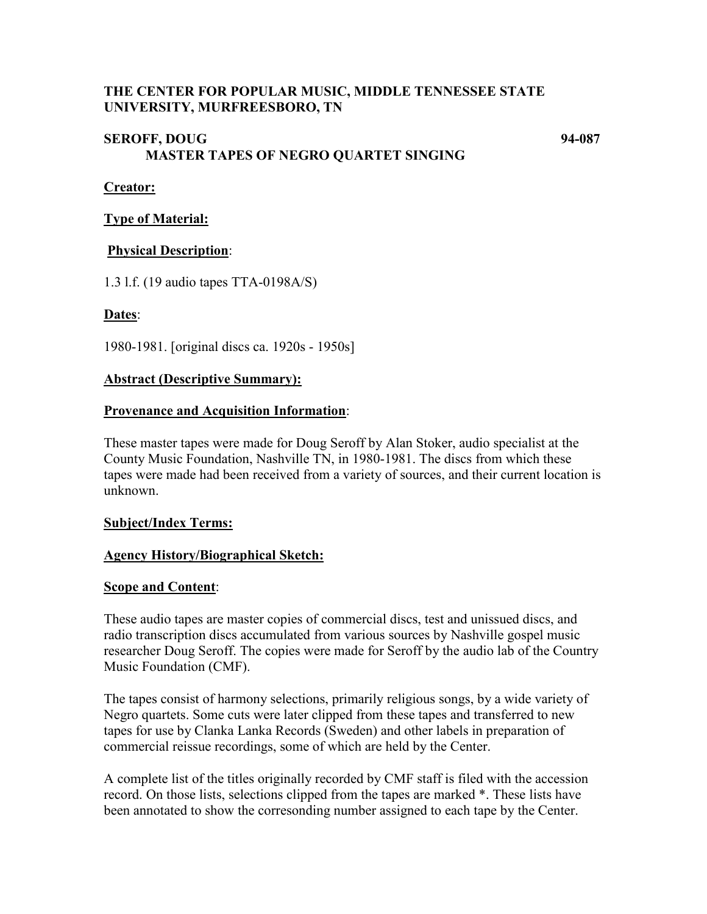## **THE CENTER FOR POPULAR MUSIC, MIDDLE TENNESSEE STATE UNIVERSITY, MURFREESBORO, TN**

# **SEROFF, DOUG 94-087 MASTER TAPES OF NEGRO QUARTET SINGING**

### **Creator:**

### **Type of Material:**

## **Physical Description**:

1.3 l.f. (19 audio tapes TTA-0198A/S)

## **Dates**:

1980-1981. [original discs ca. 1920s - 1950s]

#### **Abstract (Descriptive Summary):**

#### **Provenance and Acquisition Information**:

These master tapes were made for Doug Seroff by Alan Stoker, audio specialist at the County Music Foundation, Nashville TN, in 1980-1981. The discs from which these tapes were made had been received from a variety of sources, and their current location is unknown.

#### **Subject/Index Terms:**

#### **Agency History/Biographical Sketch:**

#### **Scope and Content**:

These audio tapes are master copies of commercial discs, test and unissued discs, and radio transcription discs accumulated from various sources by Nashville gospel music researcher Doug Seroff. The copies were made for Seroff by the audio lab of the Country Music Foundation (CMF).

The tapes consist of harmony selections, primarily religious songs, by a wide variety of Negro quartets. Some cuts were later clipped from these tapes and transferred to new tapes for use by Clanka Lanka Records (Sweden) and other labels in preparation of commercial reissue recordings, some of which are held by the Center.

A complete list of the titles originally recorded by CMF staff is filed with the accession record. On those lists, selections clipped from the tapes are marked \*. These lists have been annotated to show the corresonding number assigned to each tape by the Center.